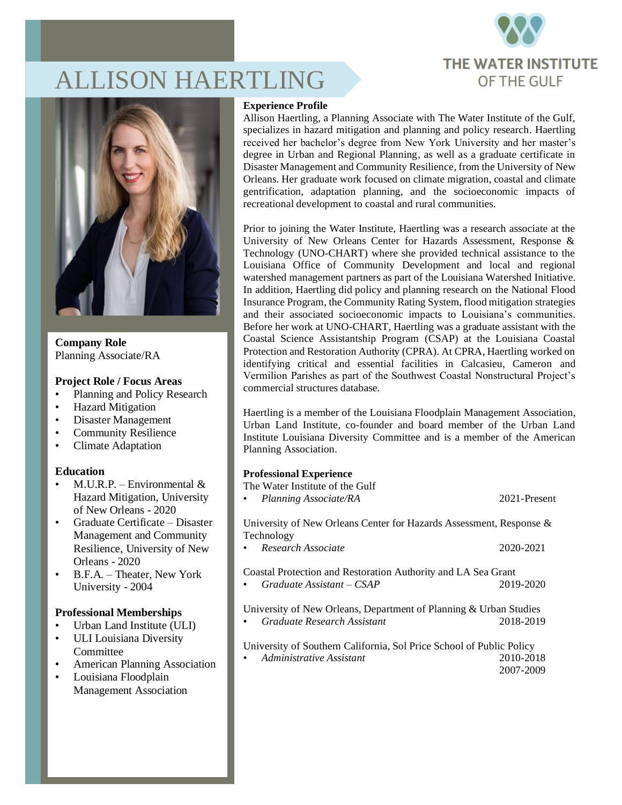

# ALLISON HAERTLING



**Company Role** Planning Associate/RA

#### **Project Role / Focus Areas**

- Planning and Policy Research
- Hazard Mitigation
- Disaster Management
- Community Resilience
- Climate Adaptation

# **Education**

- M.U.R.P. Environmental  $\&$ Hazard Mitigation, University of New Orleans - 2020
- Graduate Certificate Disaster Management and Community Resilience, University of New Orleans - 2020
- B.F.A. Theater, New York University - 2004

# **Professional Memberships**

- Urban Land Institute (ULI)
- ULI Louisiana Diversity Committee
- American Planning Association
- Louisiana Floodplain Management Association

#### **Experience Profile**

Allison Haertling, a Planning Associate with The Water Institute of the Gulf, specializes in hazard mitigation and planning and policy research. Haertling received her bachelor's degree from New York University and her master's degree in Urban and Regional Planning, as well as a graduate certificate in Disaster Management and Community Resilience, from the University of New Orleans. Her graduate work focused on climate migration, coastal and climate gentrification, adaptation planning, and the socioeconomic impacts of recreational development to coastal and rural communities.

Prior to joining the Water Institute, Haertling was a research associate at the University of New Orleans Center for Hazards Assessment, Response & Technology (UNO-CHART) where she provided technical assistance to the Louisiana Office of Community Development and local and regional watershed management partners as part of the Louisiana Watershed Initiative. In addition, Haertling did policy and planning research on the National Flood Insurance Program, the Community Rating System, flood mitigation strategies and their associated socioeconomic impacts to Louisiana's communities. Before her work at UNO-CHART, Haertling was a graduate assistant with the Coastal Science Assistantship Program (CSAP) at the Louisiana Coastal Protection and Restoration Authority (CPRA). At CPRA, Haertling worked on identifying critical and essential facilities in Calcasieu, Cameron and Vermilion Parishes as part of the Southwest Coastal Nonstructural Project's commercial structures database.

Haertling is a member of the Louisiana Floodplain Management Association, Urban Land Institute, co-founder and board member of the Urban Land Institute Louisiana Diversity Committee and is a member of the American Planning Association.

# **Professional Experience**

| The Water Institute of the Gulf                                                               |              |
|-----------------------------------------------------------------------------------------------|--------------|
| Planning Associate/RA<br>$\bullet$                                                            | 2021-Present |
| University of New Orleans Center for Hazards Assessment, Response &                           |              |
| Technology                                                                                    |              |
| Research Associate                                                                            | 2020-2021    |
| Coastal Protection and Restoration Authority and LA Sea Grant<br>$Graduate\ Assistant - CSAP$ | 2019-2020    |
| University of New Orleans, Department of Planning & Urban Studies                             |              |
|                                                                                               |              |
| Graduate Research Assistant                                                                   | 2018-2019    |
| University of Southern California, Sol Price School of Public Policy                          |              |
| • Administrative Assistant                                                                    | 2010-2018    |

2007-2009